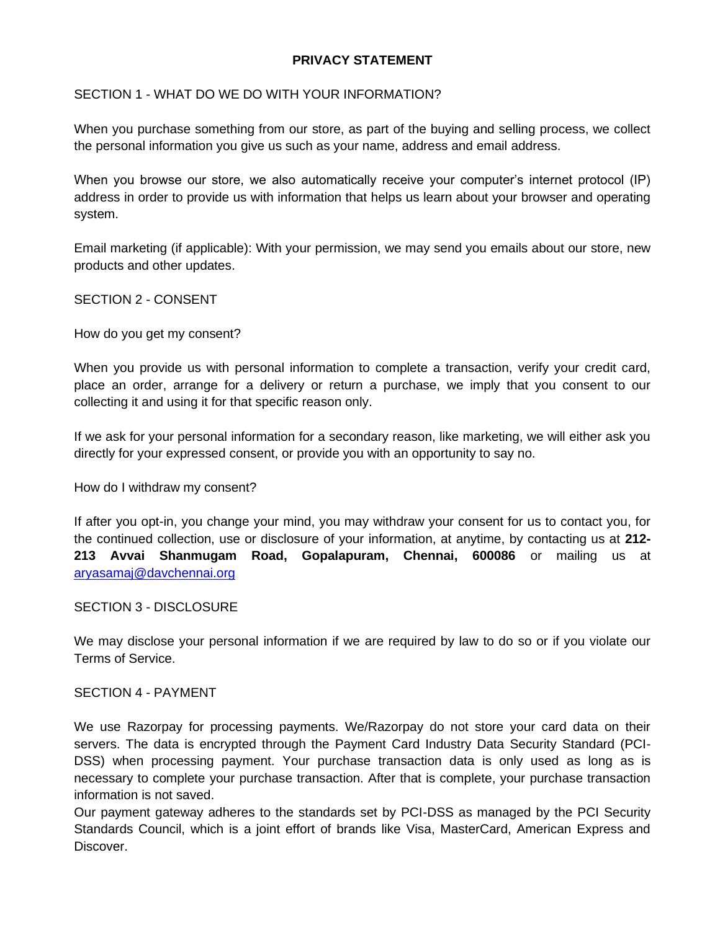# **PRIVACY STATEMENT**

## SECTION 1 - WHAT DO WE DO WITH YOUR INFORMATION?

When you purchase something from our store, as part of the buying and selling process, we collect the personal information you give us such as your name, address and email address.

When you browse our store, we also automatically receive your computer's internet protocol (IP) address in order to provide us with information that helps us learn about your browser and operating system.

Email marketing (if applicable): With your permission, we may send you emails about our store, new products and other updates.

## SECTION 2 - CONSENT

How do you get my consent?

When you provide us with personal information to complete a transaction, verify your credit card, place an order, arrange for a delivery or return a purchase, we imply that you consent to our collecting it and using it for that specific reason only.

If we ask for your personal information for a secondary reason, like marketing, we will either ask you directly for your expressed consent, or provide you with an opportunity to say no.

How do I withdraw my consent?

If after you opt-in, you change your mind, you may withdraw your consent for us to contact you, for the continued collection, use or disclosure of your information, at anytime, by contacting us at **212- 213 Avvai Shanmugam Road, Gopalapuram, Chennai, 600086** or mailing us at [aryasamaj@davchennai.org](mailto:aryasamaj@davchennai.org)

#### SECTION 3 - DISCLOSURE

We may disclose your personal information if we are required by law to do so or if you violate our Terms of Service.

#### SECTION 4 - PAYMENT

We use Razorpay for processing payments. We/Razorpay do not store your card data on their servers. The data is encrypted through the Payment Card Industry Data Security Standard (PCI-DSS) when processing payment. Your purchase transaction data is only used as long as is necessary to complete your purchase transaction. After that is complete, your purchase transaction information is not saved.

Our payment gateway adheres to the standards set by PCI-DSS as managed by the PCI Security Standards Council, which is a joint effort of brands like Visa, MasterCard, American Express and Discover.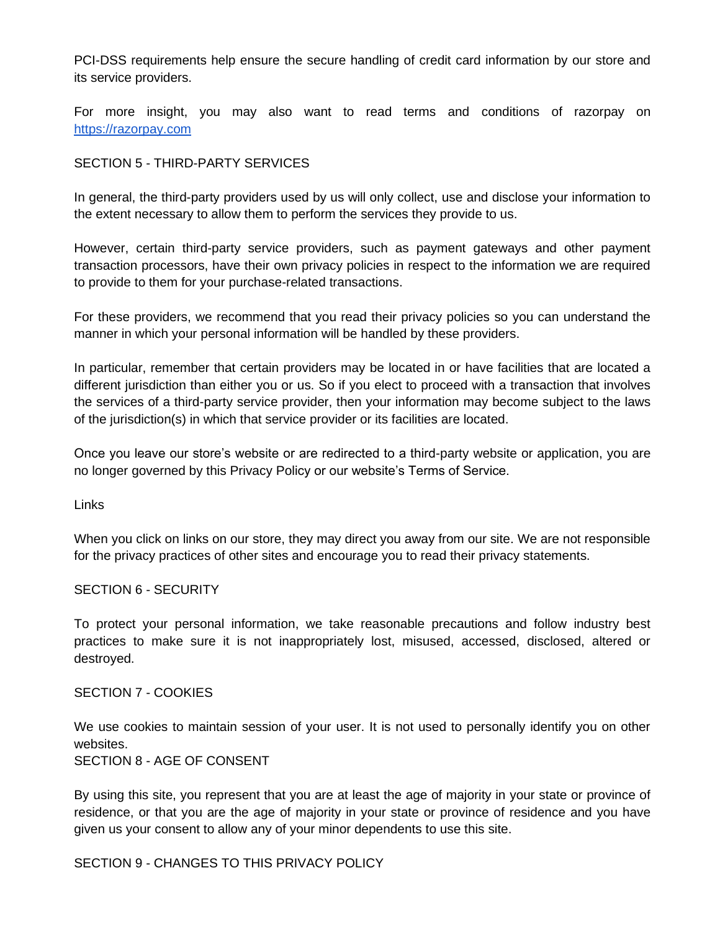PCI-DSS requirements help ensure the secure handling of credit card information by our store and its service providers.

For more insight, you may also want to read terms and conditions of razorpay on [https://razorpay.com](https://razorpay.com/)

## SECTION 5 - THIRD-PARTY SERVICES

In general, the third-party providers used by us will only collect, use and disclose your information to the extent necessary to allow them to perform the services they provide to us.

However, certain third-party service providers, such as payment gateways and other payment transaction processors, have their own privacy policies in respect to the information we are required to provide to them for your purchase-related transactions.

For these providers, we recommend that you read their privacy policies so you can understand the manner in which your personal information will be handled by these providers.

In particular, remember that certain providers may be located in or have facilities that are located a different jurisdiction than either you or us. So if you elect to proceed with a transaction that involves the services of a third-party service provider, then your information may become subject to the laws of the jurisdiction(s) in which that service provider or its facilities are located.

Once you leave our store's website or are redirected to a third-party website or application, you are no longer governed by this Privacy Policy or our website's Terms of Service.

Links

When you click on links on our store, they may direct you away from our site. We are not responsible for the privacy practices of other sites and encourage you to read their privacy statements.

#### SECTION 6 - SECURITY

To protect your personal information, we take reasonable precautions and follow industry best practices to make sure it is not inappropriately lost, misused, accessed, disclosed, altered or destroyed.

#### SECTION 7 - COOKIES

We use cookies to maintain session of your user. It is not used to personally identify you on other websites.

SECTION 8 - AGE OF CONSENT

By using this site, you represent that you are at least the age of majority in your state or province of residence, or that you are the age of majority in your state or province of residence and you have given us your consent to allow any of your minor dependents to use this site.

SECTION 9 - CHANGES TO THIS PRIVACY POLICY